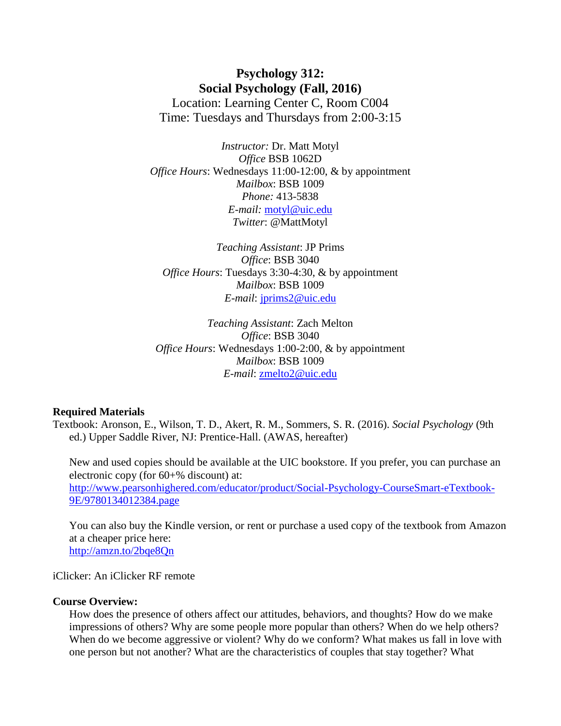**Psychology 312: Social Psychology (Fall, 2016)** Location: Learning Center C, Room C004 Time: Tuesdays and Thursdays from 2:00-3:15

*Instructor:* Dr. Matt Motyl *Office* BSB 1062D *Office Hours*: Wednesdays 11:00-12:00, & by appointment *Mailbox*: BSB 1009 *Phone:* 413-5838 *E-mail:* [motyl@uic.edu](mailto:motyl@uic.edu) *Twitter*: @MattMotyl

*Teaching Assistant*: JP Prims *Office*: BSB 3040 *Office Hours*: Tuesdays 3:30-4:30, & by appointment *Mailbox*: BSB 1009 *E-mail*: [jprims2@uic.edu](mailto:jprims2@uic.edu)

*Teaching Assistant*: Zach Melton *Office*: BSB 3040 *Office Hours*: Wednesdays 1:00-2:00, & by appointment *Mailbox*: BSB 1009 *E-mail*: [zmelto2@uic.edu](mailto:zmelto2@uic.edu)

#### **Required Materials**

Textbook: Aronson, E., Wilson, T. D., Akert, R. M., Sommers, S. R. (2016). *Social Psychology* (9th ed.) Upper Saddle River, NJ: Prentice-Hall. (AWAS, hereafter)

New and used copies should be available at the UIC bookstore. If you prefer, you can purchase an electronic copy (for 60+% discount) at: [http://www.pearsonhighered.com/educator/product/Social-Psychology-CourseSmart-eTextbook-](http://www.pearsonhighered.com/educator/product/Social-Psychology-CourseSmart-eTextbook-9E/9780134012384.page)[9E/9780134012384.page](http://www.pearsonhighered.com/educator/product/Social-Psychology-CourseSmart-eTextbook-9E/9780134012384.page)

You can also buy the Kindle version, or rent or purchase a used copy of the textbook from Amazon at a cheaper price here: <http://amzn.to/2bqe8Qn>

iClicker: An iClicker RF remote

## **Course Overview:**

How does the presence of others affect our attitudes, behaviors, and thoughts? How do we make impressions of others? Why are some people more popular than others? When do we help others? When do we become aggressive or violent? Why do we conform? What makes us fall in love with one person but not another? What are the characteristics of couples that stay together? What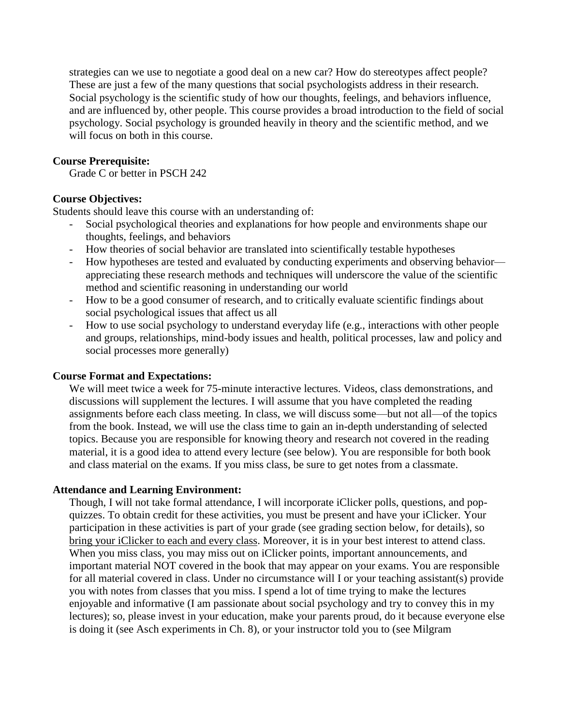strategies can we use to negotiate a good deal on a new car? How do stereotypes affect people? These are just a few of the many questions that social psychologists address in their research. Social psychology is the scientific study of how our thoughts, feelings, and behaviors influence, and are influenced by, other people. This course provides a broad introduction to the field of social psychology. Social psychology is grounded heavily in theory and the scientific method, and we will focus on both in this course.

## **Course Prerequisite:**

Grade C or better in PSCH 242

## **Course Objectives:**

Students should leave this course with an understanding of:

- Social psychological theories and explanations for how people and environments shape our thoughts, feelings, and behaviors
- How theories of social behavior are translated into scientifically testable hypotheses
- How hypotheses are tested and evaluated by conducting experiments and observing behavior appreciating these research methods and techniques will underscore the value of the scientific method and scientific reasoning in understanding our world
- How to be a good consumer of research, and to critically evaluate scientific findings about social psychological issues that affect us all
- How to use social psychology to understand everyday life (e.g., interactions with other people and groups, relationships, mind-body issues and health, political processes, law and policy and social processes more generally)

## **Course Format and Expectations:**

We will meet twice a week for 75-minute interactive lectures. Videos, class demonstrations, and discussions will supplement the lectures. I will assume that you have completed the reading assignments before each class meeting. In class, we will discuss some—but not all—of the topics from the book. Instead, we will use the class time to gain an in-depth understanding of selected topics. Because you are responsible for knowing theory and research not covered in the reading material, it is a good idea to attend every lecture (see below). You are responsible for both book and class material on the exams. If you miss class, be sure to get notes from a classmate.

## **Attendance and Learning Environment:**

Though, I will not take formal attendance, I will incorporate iClicker polls, questions, and popquizzes. To obtain credit for these activities, you must be present and have your iClicker. Your participation in these activities is part of your grade (see grading section below, for details), so bring your iClicker to each and every class. Moreover, it is in your best interest to attend class. When you miss class, you may miss out on iClicker points, important announcements, and important material NOT covered in the book that may appear on your exams. You are responsible for all material covered in class. Under no circumstance will I or your teaching assistant(s) provide you with notes from classes that you miss. I spend a lot of time trying to make the lectures enjoyable and informative (I am passionate about social psychology and try to convey this in my lectures); so, please invest in your education, make your parents proud, do it because everyone else is doing it (see Asch experiments in Ch. 8), or your instructor told you to (see Milgram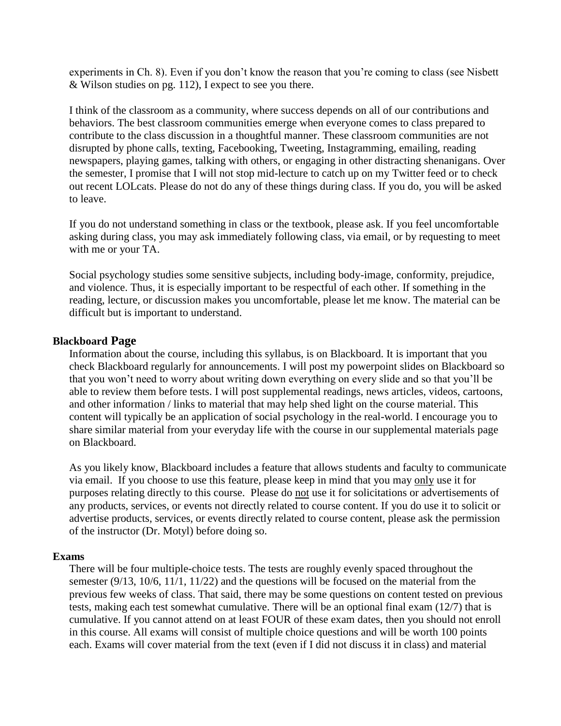experiments in Ch. 8). Even if you don't know the reason that you're coming to class (see Nisbett & Wilson studies on pg. 112), I expect to see you there.

I think of the classroom as a community, where success depends on all of our contributions and behaviors. The best classroom communities emerge when everyone comes to class prepared to contribute to the class discussion in a thoughtful manner. These classroom communities are not disrupted by phone calls, texting, Facebooking, Tweeting, Instagramming, emailing, reading newspapers, playing games, talking with others, or engaging in other distracting shenanigans. Over the semester, I promise that I will not stop mid-lecture to catch up on my Twitter feed or to check out recent LOLcats. Please do not do any of these things during class. If you do, you will be asked to leave.

If you do not understand something in class or the textbook, please ask. If you feel uncomfortable asking during class, you may ask immediately following class, via email, or by requesting to meet with me or your TA.

Social psychology studies some sensitive subjects, including body-image, conformity, prejudice, and violence. Thus, it is especially important to be respectful of each other. If something in the reading, lecture, or discussion makes you uncomfortable, please let me know. The material can be difficult but is important to understand.

# **Blackboard Page**

Information about the course, including this syllabus, is on Blackboard. It is important that you check Blackboard regularly for announcements. I will post my powerpoint slides on Blackboard so that you won't need to worry about writing down everything on every slide and so that you'll be able to review them before tests. I will post supplemental readings, news articles, videos, cartoons, and other information / links to material that may help shed light on the course material. This content will typically be an application of social psychology in the real-world. I encourage you to share similar material from your everyday life with the course in our supplemental materials page on Blackboard.

As you likely know, Blackboard includes a feature that allows students and faculty to communicate via email. If you choose to use this feature, please keep in mind that you may only use it for purposes relating directly to this course. Please do not use it for solicitations or advertisements of any products, services, or events not directly related to course content. If you do use it to solicit or advertise products, services, or events directly related to course content, please ask the permission of the instructor (Dr. Motyl) before doing so.

## **Exams**

There will be four multiple-choice tests. The tests are roughly evenly spaced throughout the semester (9/13, 10/6, 11/1, 11/22) and the questions will be focused on the material from the previous few weeks of class. That said, there may be some questions on content tested on previous tests, making each test somewhat cumulative. There will be an optional final exam (12/7) that is cumulative. If you cannot attend on at least FOUR of these exam dates, then you should not enroll in this course. All exams will consist of multiple choice questions and will be worth 100 points each. Exams will cover material from the text (even if I did not discuss it in class) and material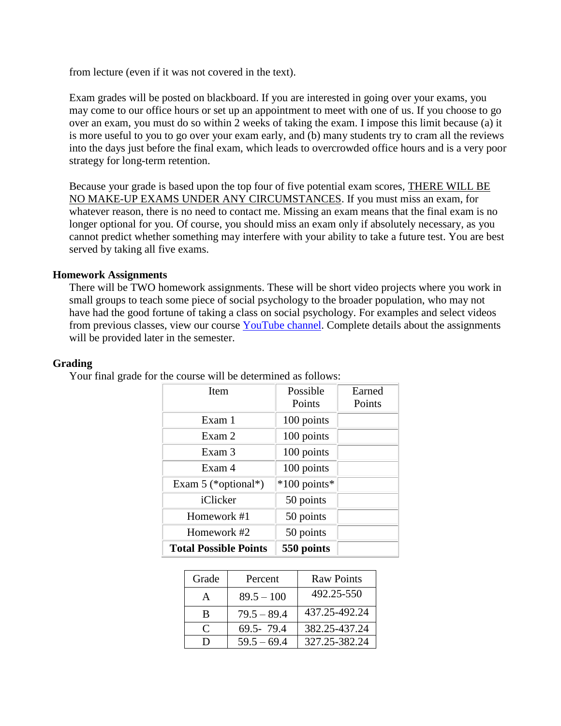from lecture (even if it was not covered in the text).

Exam grades will be posted on blackboard. If you are interested in going over your exams, you may come to our office hours or set up an appointment to meet with one of us. If you choose to go over an exam, you must do so within 2 weeks of taking the exam. I impose this limit because (a) it is more useful to you to go over your exam early, and (b) many students try to cram all the reviews into the days just before the final exam, which leads to overcrowded office hours and is a very poor strategy for long-term retention.

Because your grade is based upon the top four of five potential exam scores, THERE WILL BE NO MAKE-UP EXAMS UNDER ANY CIRCUMSTANCES. If you must miss an exam, for whatever reason, there is no need to contact me. Missing an exam means that the final exam is no longer optional for you. Of course, you should miss an exam only if absolutely necessary, as you cannot predict whether something may interfere with your ability to take a future test. You are best served by taking all five exams.

# **Homework Assignments**

There will be TWO homework assignments. These will be short video projects where you work in small groups to teach some piece of social psychology to the broader population, who may not have had the good fortune of taking a class on social psychology. For examples and select videos from previous classes, view our course [YouTube channel.](https://www.youtube.com/playlist?list=PLeG29AGHrtpPvudFz539kKQsMEpJ8Cexw) Complete details about the assignments will be provided later in the semester.

#### **Grading**

Your final grade for the course will be determined as follows:

| Item                         | Possible     | Earned |
|------------------------------|--------------|--------|
|                              | Points       | Points |
| Exam 1                       | 100 points   |        |
| Exam 2                       | 100 points   |        |
| Exam 3                       | 100 points   |        |
| Exam 4                       | 100 points   |        |
| Exam $5$ (*optional*)        | *100 points* |        |
| iClicker                     | 50 points    |        |
| Homework #1                  | 50 points    |        |
| Homework #2                  | 50 points    |        |
| <b>Total Possible Points</b> | 550 points   |        |

| Grade     | Percent       | <b>Raw Points</b> |
|-----------|---------------|-------------------|
| A         | $89.5 - 100$  | 492.25-550        |
| B         | $79.5 - 89.4$ | 437.25-492.24     |
| $\subset$ | $69.5 - 79.4$ | 382.25-437.24     |
| D         | $59.5 - 69.4$ | 327.25-382.24     |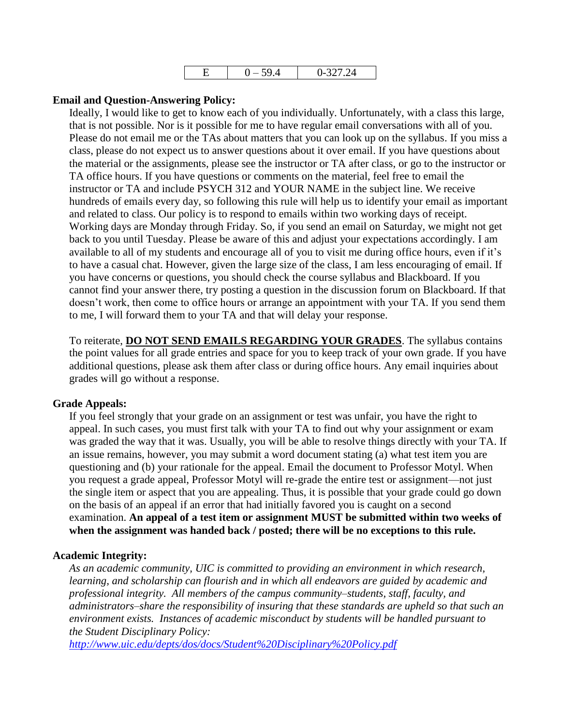| _ | ◡ | $\sim$<br>. .<br>$\cdot$ |
|---|---|--------------------------|
|---|---|--------------------------|

## **Email and Question-Answering Policy:**

Ideally, I would like to get to know each of you individually. Unfortunately, with a class this large, that is not possible. Nor is it possible for me to have regular email conversations with all of you. Please do not email me or the TAs about matters that you can look up on the syllabus. If you miss a class, please do not expect us to answer questions about it over email. If you have questions about the material or the assignments, please see the instructor or TA after class, or go to the instructor or TA office hours. If you have questions or comments on the material, feel free to email the instructor or TA and include PSYCH 312 and YOUR NAME in the subject line. We receive hundreds of emails every day, so following this rule will help us to identify your email as important and related to class. Our policy is to respond to emails within two working days of receipt. Working days are Monday through Friday. So, if you send an email on Saturday, we might not get back to you until Tuesday. Please be aware of this and adjust your expectations accordingly. I am available to all of my students and encourage all of you to visit me during office hours, even if it's to have a casual chat. However, given the large size of the class, I am less encouraging of email. If you have concerns or questions, you should check the course syllabus and Blackboard. If you cannot find your answer there, try posting a question in the discussion forum on Blackboard. If that doesn't work, then come to office hours or arrange an appointment with your TA. If you send them to me, I will forward them to your TA and that will delay your response.

To reiterate, **DO NOT SEND EMAILS REGARDING YOUR GRADES**. The syllabus contains the point values for all grade entries and space for you to keep track of your own grade. If you have additional questions, please ask them after class or during office hours. Any email inquiries about grades will go without a response.

## **Grade Appeals:**

If you feel strongly that your grade on an assignment or test was unfair, you have the right to appeal. In such cases, you must first talk with your TA to find out why your assignment or exam was graded the way that it was. Usually, you will be able to resolve things directly with your TA. If an issue remains, however, you may submit a word document stating (a) what test item you are questioning and (b) your rationale for the appeal. Email the document to Professor Motyl. When you request a grade appeal, Professor Motyl will re-grade the entire test or assignment—not just the single item or aspect that you are appealing. Thus, it is possible that your grade could go down on the basis of an appeal if an error that had initially favored you is caught on a second examination. **An appeal of a test item or assignment MUST be submitted within two weeks of when the assignment was handed back / posted; there will be no exceptions to this rule.**

# **Academic Integrity:**

*As an academic community, UIC is committed to providing an environment in which research, learning, and scholarship can flourish and in which all endeavors are guided by academic and professional integrity. All members of the campus community–students, staff, faculty, and administrators–share the responsibility of insuring that these standards are upheld so that such an environment exists. Instances of academic misconduct by students will be handled pursuant to the Student Disciplinary Policy:*

*<http://www.uic.edu/depts/dos/docs/Student%20Disciplinary%20Policy.pdf>*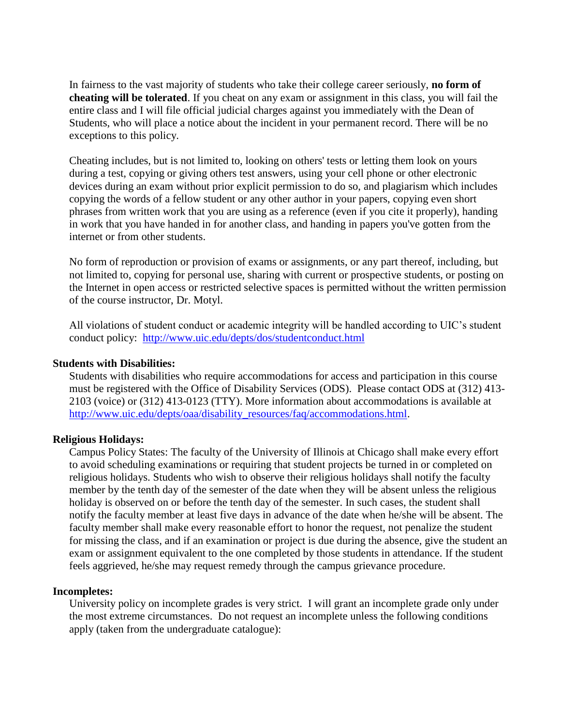In fairness to the vast majority of students who take their college career seriously, **no form of cheating will be tolerated**. If you cheat on any exam or assignment in this class, you will fail the entire class and I will file official judicial charges against you immediately with the Dean of Students, who will place a notice about the incident in your permanent record. There will be no exceptions to this policy.

Cheating includes, but is not limited to, looking on others' tests or letting them look on yours during a test, copying or giving others test answers, using your cell phone or other electronic devices during an exam without prior explicit permission to do so, and plagiarism which includes copying the words of a fellow student or any other author in your papers, copying even short phrases from written work that you are using as a reference (even if you cite it properly), handing in work that you have handed in for another class, and handing in papers you've gotten from the internet or from other students.

No form of reproduction or provision of exams or assignments, or any part thereof, including, but not limited to, copying for personal use, sharing with current or prospective students, or posting on the Internet in open access or restricted selective spaces is permitted without the written permission of the course instructor, Dr. Motyl.

All violations of student conduct or academic integrity will be handled according to UIC's student conduct policy: <http://www.uic.edu/depts/dos/studentconduct.html>

# **Students with Disabilities:**

Students with disabilities who require accommodations for access and participation in this course must be registered with the Office of Disability Services (ODS). Please contact ODS at (312) 413- 2103 (voice) or (312) 413-0123 (TTY). More information about accommodations is available at [http://www.uic.edu/depts/oaa/disability\\_resources/faq/accommodations.html.](http://www.uic.edu/depts/oaa/disability_resources/faq/accommodations.html)

# **Religious Holidays:**

Campus Policy States: The faculty of the University of Illinois at Chicago shall make every effort to avoid scheduling examinations or requiring that student projects be turned in or completed on religious holidays. Students who wish to observe their religious holidays shall notify the faculty member by the tenth day of the semester of the date when they will be absent unless the religious holiday is observed on or before the tenth day of the semester. In such cases, the student shall notify the faculty member at least five days in advance of the date when he/she will be absent. The faculty member shall make every reasonable effort to honor the request, not penalize the student for missing the class, and if an examination or project is due during the absence, give the student an exam or assignment equivalent to the one completed by those students in attendance. If the student feels aggrieved, he/she may request remedy through the campus grievance procedure.

## **Incompletes:**

University policy on incomplete grades is very strict. I will grant an incomplete grade only under the most extreme circumstances. Do not request an incomplete unless the following conditions apply (taken from the undergraduate catalogue):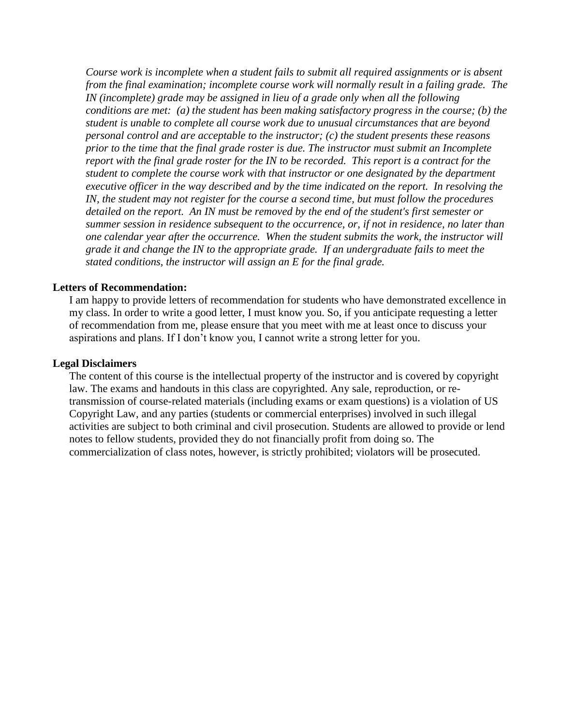*Course work is incomplete when a student fails to submit all required assignments or is absent from the final examination; incomplete course work will normally result in a failing grade. The IN* (incomplete) grade may be assigned in lieu of a grade only when all the following *conditions are met: (a) the student has been making satisfactory progress in the course; (b) the student is unable to complete all course work due to unusual circumstances that are beyond personal control and are acceptable to the instructor; (c) the student presents these reasons prior to the time that the final grade roster is due. The instructor must submit an Incomplete report with the final grade roster for the IN to be recorded. This report is a contract for the student to complete the course work with that instructor or one designated by the department executive officer in the way described and by the time indicated on the report. In resolving the IN, the student may not register for the course a second time, but must follow the procedures detailed on the report. An IN must be removed by the end of the student's first semester or summer session in residence subsequent to the occurrence, or, if not in residence, no later than one calendar year after the occurrence. When the student submits the work, the instructor will grade it and change the IN to the appropriate grade. If an undergraduate fails to meet the stated conditions, the instructor will assign an E for the final grade.*

## **Letters of Recommendation:**

I am happy to provide letters of recommendation for students who have demonstrated excellence in my class. In order to write a good letter, I must know you. So, if you anticipate requesting a letter of recommendation from me, please ensure that you meet with me at least once to discuss your aspirations and plans. If I don't know you, I cannot write a strong letter for you.

## **Legal Disclaimers**

The content of this course is the intellectual property of the instructor and is covered by copyright law. The exams and handouts in this class are copyrighted. Any sale, reproduction, or retransmission of course-related materials (including exams or exam questions) is a violation of US Copyright Law, and any parties (students or commercial enterprises) involved in such illegal activities are subject to both criminal and civil prosecution. Students are allowed to provide or lend notes to fellow students, provided they do not financially profit from doing so. The commercialization of class notes, however, is strictly prohibited; violators will be prosecuted.